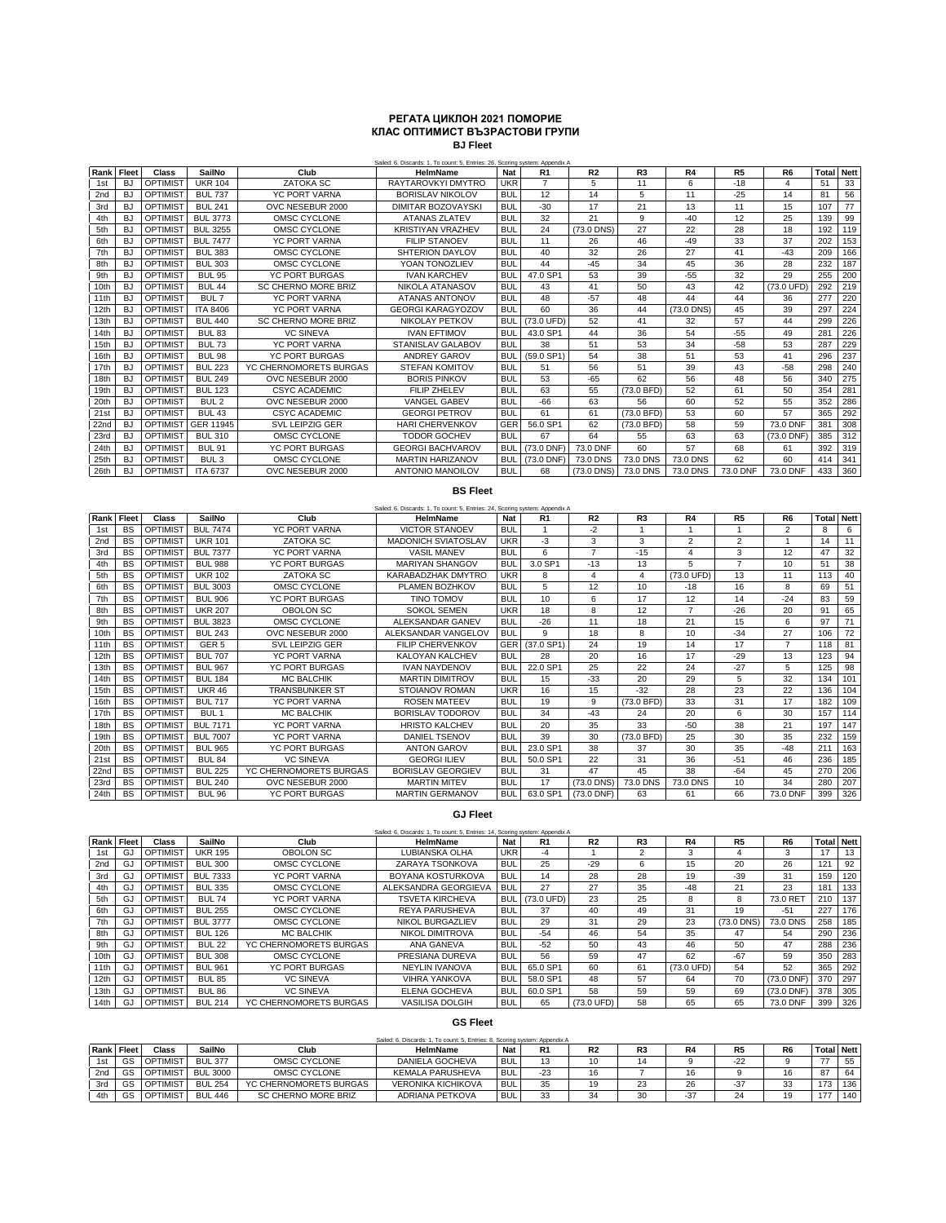## **РЕГАТА ЦИКЛОН 2021 ПОМОРИЕ КЛАС ОПТИМИСТ ВЪЗРАСТОВИ ГРУПИ BJ Fleet**

| Rank | Fleet          | Class           | SailNo           | Club                       | Sailed: 6. Discards: 1. To count: 5. Entries: 26. Scoring system: Appendix A<br><b>HelmName</b> | Nat        | R <sub>1</sub> | R <sub>2</sub> | R <sub>3</sub> | R4         | R <sub>5</sub> | R <sub>6</sub> | Total | <b>Nett</b> |
|------|----------------|-----------------|------------------|----------------------------|-------------------------------------------------------------------------------------------------|------------|----------------|----------------|----------------|------------|----------------|----------------|-------|-------------|
| 1st  | BJ             | <b>OPTIMIST</b> | <b>UKR 104</b>   | <b>ZATOKA SC</b>           | RAYTAROVKYI DMYTRO                                                                              | <b>UKR</b> | $\overline{7}$ | 5              | 11             | 6          | $-18$          |                | 51    | 33          |
| 2nd  | <b>BJ</b>      | <b>OPTIMIST</b> | <b>BUL 737</b>   | <b>YC PORT VARNA</b>       | <b>BORISLAV NIKOLOV</b>                                                                         | <b>BUL</b> | 12             | 14             | 5              | 11         | $-25$          | 14             | 81    | 56          |
| 3rd  | BJ             | <b>OPTIMIST</b> | <b>BUL 241</b>   | OVC NESEBUR 2000           | DIMITAR BOZOVAYSKI                                                                              | <b>BUL</b> | $-30$          | 17             | 21             | 13         | 11             | 15             | 107   | 77          |
| 4th  | BJ             | <b>OPTIMIST</b> | <b>BUL 3773</b>  | OMSC CYCLONE               | <b>ATANAS ZLATEV</b>                                                                            | <b>BUL</b> | 32             | 21             | 9              | $-40$      | 12             | 25             | 139   | 99          |
| 5th  | <b>BJ</b>      | <b>OPTIMIST</b> | <b>BUL 3255</b>  | OMSC CYCLONE               | <b>KRISTIYAN VRAZHEV</b>                                                                        | <b>BUL</b> | 24             | (73.0 DNS)     | 27             | 22         | 28             | 18             | 192   | 119         |
| 6th  | BJ             | <b>OPTIMIST</b> | <b>BUL 7477</b>  | <b>YC PORT VARNA</b>       | <b>FILIP STANOEV</b>                                                                            | <b>BUL</b> | 11             | 26             | 46             | $-49$      | 33             | 37             | 202   | 153         |
| 7th  | BJ             | <b>OPTIMIST</b> | <b>BUL 383</b>   | OMSC CYCLONE               | SHTERION DAYLOV                                                                                 | <b>BUL</b> | 40             | 32             | 26             | 27         | 41             | $-43$          | 209   | 166         |
| 8th  | <b>BJ</b>      | OPTIMIST        | <b>BUL 303</b>   | OMSC CYCLONE               | YOAN TONOZLIEV                                                                                  | <b>BUL</b> | 44             | $-45$          | 34             | 45         | 36             | 28             | 232   | 187         |
| 9th  | BJ             | OPTIMIST        | <b>BUL 95</b>    | YC PORT BURGAS             | <b>IVAN KARCHEV</b>                                                                             | <b>BUI</b> | 47.0 SP1       | 53             | 39             | $-55$      | 32             | 29             | 255   | 200         |
| 10th | BJ             | OPTIMIST        | <b>BUL 44</b>    | <b>SC CHERNO MORE BRIZ</b> | NIKOLA ATANASOV                                                                                 | <b>BUL</b> | 43             | 41             | 50             | 43         | 42             | (73.0 UFD)     | 292   | 219         |
| 11th | <b>BJ</b>      | <b>OPTIMIST</b> | BUL <sub>7</sub> | <b>YC PORT VARNA</b>       | <b>ATANAS ANTONOV</b>                                                                           | <b>BUL</b> | 48             | $-57$          | 48             | 44         | 44             | 36             | 277   | 220         |
| 12th | B <sub>1</sub> | <b>OPTIMIST</b> | <b>ITA 8406</b>  | YC PORT VARNA              | <b>GEORGI KARAGYOZOV</b>                                                                        | <b>BUL</b> | 60             | 36             | 44             | (73.0 DNS) | 45             | 39             | 297   | 224         |
| 13th | BJ             | <b>OPTIMIST</b> | <b>BUL 440</b>   | SC CHERNO MORE BRIZ        | NIKOLAY PETKOV                                                                                  | <b>BUL</b> | (73.0 UFD)     | 52             | 41             | 32         | 57             | 44             | 299   | 226         |
| 14th | <b>BJ</b>      | <b>OPTIMIST</b> | <b>BUL 83</b>    | <b>VC SINEVA</b>           | <b>IVAN EFTIMOV</b>                                                                             | <b>BUL</b> | 43.0 SP1       | 44             | 36             | 54         | $-55$          | 49             | 281   | 226         |
| 15th | BJ             | <b>OPTIMIST</b> | <b>BUL 73</b>    | <b>YC PORT VARNA</b>       | STANISLAV GALABOV                                                                               | <b>BUL</b> | 38             | 51             | 53             | 34         | $-58$          | 53             | 287   | 229         |
| 16th | BJ             | <b>OPTIMIST</b> | <b>BUL 98</b>    | <b>YC PORT BURGAS</b>      | ANDREY GAROV                                                                                    | BUI        | (59.0 SP1)     | 54             | 38             | 51         | 53             | 41             | 296   | 237         |
| 17th | BJ             | <b>OPTIMIST</b> | <b>BUL 223</b>   | YC CHERNOMORETS BURGAS     | <b>STEFAN KOMITOV</b>                                                                           | <b>BUL</b> | 51             | 56             | 51             | 39         | 43             | $-58$          | 298   | 240         |
| 18th | BJ             | <b>OPTIMIST</b> | <b>BUL 249</b>   | OVC NESEBUR 2000           | <b>BORIS PINKOV</b>                                                                             | <b>BUL</b> | 53             | $-65$          | 62             | 56         | 48             | 56             | 340   | 275         |
| 19th | BJ             | <b>OPTIMIST</b> | <b>BUL 123</b>   | CSYC ACADEMIC              | FILIP ZHELEV                                                                                    | <b>BUL</b> | 63             | 55             | $(73.0$ BFD)   | 52         | 61             | 50             | 354   | 281         |
| 20th | BJ             | <b>OPTIMIST</b> | BUL <sub>2</sub> | OVC NESEBUR 2000           | VANGEL GABEV                                                                                    | <b>BUL</b> | -66            | 63             | 56             | 60         | 52             | 55             | 352   | 286         |
| 21st | BJ             | OPTIMIST        | <b>BUL 43</b>    | CSYC ACADEMIC              | <b>GEORGI PETROV</b>                                                                            | <b>BUL</b> | 61             | 61             | (73.0 BFD)     | 53         | 60             | 57             | 365   | 292         |
| 22nd | <b>BJ</b>      | <b>OPTIMIST</b> | GER 11945        | <b>SVL LEIPZIG GER</b>     | <b>HARI CHERVENKOV</b>                                                                          | GER        | 56.0 SP1       | 62             | (73.0 BFD)     | 58         | 59             | 73.0 DNF       | 381   | 308         |
| 23rd | <b>BJ</b>      | <b>OPTIMIST</b> | <b>BUL 310</b>   | OMSC CYCLONE               | <b>TODOR GOCHEV</b>                                                                             | <b>BUL</b> | 67             | 64             | 55             | 63         | 63             | (73.0 DNF)     | 385   | 312         |
| 24th | <b>BJ</b>      | <b>OPTIMIST</b> | <b>BUL 91</b>    | <b>YC PORT BURGAS</b>      | <b>GEORGI BACHVAROV</b>                                                                         | <b>BUL</b> | $(73.0$ DNF)   | 73.0 DNF       | 60             | 57         | 68             | 61             | 392   | 319         |
| 25th | BJ             | <b>OPTIMIST</b> | BUL <sub>3</sub> | OMSC CYCLONE               | <b>MARTIN HARIZANOV</b>                                                                         | <b>BUL</b> | $(73.0$ DNF)   | 73.0 DNS       | 73.0 DNS       | 73.0 DNS   | 62             | 60             | 414   | 341         |
| 26th | BJ             | <b>OPTIMIST</b> | <b>ITA 6737</b>  | OVC NESEBUR 2000           | ANTONIO MANOILOV                                                                                | <b>BUL</b> | 68             | (73.0 DNS)     | 73.0 DNS       | 73.0 DNS   | 73.0 DNF       | 73.0 DNF       | 433   | 360         |

## **BS Fleet**

|      |           |                      |                  |                        | Sailed: 6. Discards: 1. To count: 5. Entries: 24. Scoring system: Appendix A |            |                |                |                |                |                |                |       |             |
|------|-----------|----------------------|------------------|------------------------|------------------------------------------------------------------------------|------------|----------------|----------------|----------------|----------------|----------------|----------------|-------|-------------|
| Rank | Fleet     | <b>Class</b>         | SailNo           | Club                   | <b>HelmName</b>                                                              | Nat        | R <sub>1</sub> | R <sub>2</sub> | R <sub>3</sub> | R4             | R <sub>5</sub> | R <sub>6</sub> | Total | <b>Nett</b> |
| 1st  | <b>BS</b> | OPTIMIS <sup>-</sup> | <b>BUL 7474</b>  | <b>YC PORT VARNA</b>   | <b>VICTOR STANOEV</b>                                                        | <b>BUL</b> |                | $-2$           |                |                |                | $\overline{2}$ | 8     | 6           |
| 2nd  | <b>BS</b> | <b>OPTIMIST</b>      | <b>UKR 101</b>   | <b>ZATOKA SC</b>       | <b>MADONICH SVIATOSLAV</b>                                                   | <b>UKR</b> | -3             | 3              | 3              | $\overline{2}$ | 2              |                | 14    | 11          |
| 3rd  | <b>BS</b> | OPTIMIST             | <b>BUL 7377</b>  | <b>YC PORT VARNA</b>   | <b>VASIL MANEV</b>                                                           | <b>BUI</b> | 6              | 7              | $-15$          | $\overline{4}$ | 3              | 12             | 47    | 32          |
| 4th  | <b>BS</b> | <b>OPTIMIST</b>      | <b>BUL 988</b>   | YC PORT BURGAS         | <b>MARIYAN SHANGOV</b>                                                       | <b>BUI</b> | 3.0 SP1        | $-13$          | 13             | 5              | 7              | 10             | 51    | 38          |
| 5th  | <b>BS</b> | <b>OPTIMIST</b>      | <b>UKR 102</b>   | ZATOKA SC              | KARABADZHAK DMYTRO                                                           | UKR        | 8              | 4              | $\overline{4}$ | (73.0 UFD)     | 13             | 11             | 113   | 40          |
| 6th  | <b>BS</b> | OPTIMIST             | BUL 3003         | OMSC CYCLONE           | PLAMEN BOZHKOV                                                               | <b>BUI</b> | 5              | 12             | 10             | $-18$          | 16             | 8              | 69    | 51          |
| 7th  | <b>BS</b> | OPTIMIST             | <b>BUL 906</b>   | YC PORT BURGAS         | TINO TOMOV                                                                   | <b>BUL</b> | 10             | 6              | 17             | 12             | 14             | $-24$          | 83    | 59          |
| 8th  | <b>BS</b> | OPTIMIS <sup>-</sup> | <b>UKR 207</b>   | OBOLON SC              | <b>SOKOL SEMEN</b>                                                           | <b>UKR</b> | 18             | 8              | 12             | $\overline{7}$ | $-26$          | 20             | 91    | 65          |
| 9th  | <b>BS</b> | OPTIMIST             | <b>BUL 3823</b>  | OMSC CYCLONE           | ALEKSANDAR GANEV                                                             | <b>BUL</b> | $-26$          | 11             | 18             | 21             | 15             | 6              | 97    | 71          |
| 10th | <b>BS</b> | <b>OPTIMIST</b>      | <b>BUL 243</b>   | OVC NESEBUR 2000       | ALEKSANDAR VANGELOV                                                          | <b>BUI</b> | q              | 18             | 8              | 10             | $-34$          | 27             | 106   | 72          |
| 11th | <b>BS</b> | <b>OPTIMIST</b>      | GER <sub>5</sub> | SVL LEIPZIG GER        | FILIP CHERVENKOV                                                             | <b>GER</b> | (37.0 SP1)     | 24             | 19             | 14             | 17             | $\overline{7}$ | 118   | 81          |
| 12th | <b>BS</b> | OPTIMIST             | <b>BUL 707</b>   | YC PORT VARNA          | KALOYAN KALCHEV                                                              | <b>BUI</b> | 28             | 20             | 16             | 17             | $-29$          | 13             | 123   | 94          |
| 13th | <b>BS</b> | <b>OPTIMIST</b>      | <b>BUL 967</b>   | YC PORT BURGAS         | <b>IVAN NAYDENOV</b>                                                         | <b>BUI</b> | 22.0 SP1       | 25             | 22             | 24             | $-27$          | 5              | 125   | 98          |
| 14th | <b>BS</b> | <b>OPTIMIST</b>      | <b>BUL 184</b>   | <b>MC BALCHIK</b>      | <b>MARTIN DIMITROV</b>                                                       | <b>BUI</b> | 15             | $-33$          | 20             | 29             | 5              | 32             | 134   | 101         |
| 15th | <b>BS</b> | OPTIMIST             | <b>UKR 46</b>    | <b>TRANSBUNKER ST</b>  | <b>STOIANOV ROMAN</b>                                                        | UKR        | 16             | 15             | $-32$          | 28             | 23             | 22             | 136   | 104         |
| 16th | <b>BS</b> | OPTIMIS <sup>-</sup> | <b>BUL 717</b>   | <b>YC PORT VARNA</b>   | <b>ROSEN MATEEV</b>                                                          | <b>BUL</b> | 19             | 9              | (73.0 BFD)     | 33             | 31             | 17             | 182   | 109         |
| 17th | <b>BS</b> | <b>OPTIMIST</b>      | BUL <sub>1</sub> | <b>MC BALCHIK</b>      | <b>BORISLAV TODOROV</b>                                                      | <b>BUL</b> | 34             | $-43$          | 24             | 20             | 6              | 30             | 157   | 114         |
| 18th | <b>BS</b> | OPTIMIS <sup>-</sup> | <b>BUL 7171</b>  | <b>YC PORT VARNA</b>   | <b>HRISTO KALCHEV</b>                                                        | <b>BUL</b> | 20             | 35             | 33             | $-50$          | 38             | 21             | 197   | 147         |
| 19th | <b>BS</b> | OPTIMIST             | <b>BUL 7007</b>  | <b>YC PORT VARNA</b>   | DANIEL TSENOV                                                                | <b>BUL</b> | 39             | 30             | (73.0 BFD)     | 25             | 30             | 35             | 232   | 159         |
| 20th | <b>BS</b> | <b>OPTIMIST</b>      | <b>BUL 965</b>   | YC PORT BURGAS         | <b>ANTON GAROV</b>                                                           | <b>BUI</b> | 23.0 SP1       | 38             | 37             | 30             | 35             | $-48$          | 211   | 163         |
| 21st | <b>BS</b> | <b>OPTIMIST</b>      | <b>BUL 84</b>    | <b>VC SINEVA</b>       | <b>GEORGI ILIEV</b>                                                          | <b>BU</b>  | 50.0 SP1       | 22             | 31             | 36             | $-51$          | 46             | 236   | 185         |
| 22nd | <b>BS</b> | OPTIMIST             | <b>BUL 225</b>   | YC CHERNOMORETS BURGAS | <b>BORISLAV GEORGIEV</b>                                                     | <b>BUI</b> | 31             | 47             | 45             | 38             | $-64$          | 45             | 270   | 206         |
| 23rd | <b>BS</b> | OPTIMIS <sup>-</sup> | <b>BUL 240</b>   | OVC NESEBUR 2000       | <b>MARTIN MITEV</b>                                                          | <b>BUL</b> | 17             | (73.0 DNS)     | 73.0 DNS       | 73.0 DNS       | 10             | 34             | 280   | 207         |
| 24th | <b>BS</b> | OPTIMIST             | <b>BUL 96</b>    | YC PORT BURGAS         | <b>MARTIN GERMANOV</b>                                                       | <b>BUL</b> | 63.0 SP1       | $(73.0$ DNF)   | 63             | 61             | 66             | 73.0 DNF       | 399   | 326         |

## **GJ Fleet**

|                 |            |                 |                 |                        | Sailed: 6, Discards: 1, To count: 5, Entries: 14, Scoring system: Appendix A |            |            |                |                |            |                |                |                   |     |
|-----------------|------------|-----------------|-----------------|------------------------|------------------------------------------------------------------------------|------------|------------|----------------|----------------|------------|----------------|----------------|-------------------|-----|
|                 | Rank Fleet | <b>Class</b>    | SailNo          | Club                   | <b>HelmName</b>                                                              | <b>Nat</b> | R1         | R <sub>2</sub> | R <sub>3</sub> | <b>R4</b>  | R <sub>5</sub> | R <sub>6</sub> | <b>Total Nett</b> |     |
| 1st             | GJ         | <b>OPTIMIST</b> | <b>UKR 195</b>  | OBOLON SC              | LUBIANSKA OLHA                                                               | <b>UKR</b> | -4         |                | $\overline{2}$ | 3          |                | 3              | 17                | 13  |
| 2 <sub>nd</sub> | GJ         | <b>OPTIMIST</b> | <b>BUL 300</b>  | OMSC CYCLONE           | ZARAYA TSONKOVA                                                              | <b>BUL</b> | 25         | $-29$          | 6              | 15         | 20             | 26             | 121               | 92  |
| 3rd             | GJ         | <b>OPTIMIST</b> | <b>BUL 7333</b> | <b>YC PORT VARNA</b>   | BOYANA KOSTURKOVA                                                            | <b>BUL</b> | 14         | 28             | 28             | 19         | $-39$          | 31             | 159               | 120 |
| 4th             | GJ         | <b>OPTIMIST</b> | <b>BUL 335</b>  | OMSC CYCLONE           | ALEKSANDRA GEORGIEVA                                                         | <b>BUL</b> | 27         | 27             | 35             | $-48$      | 21             | 23             | 181               | 133 |
| 5th             | GJ         | <b>OPTIMIST</b> | <b>BUL 74</b>   | <b>YC PORT VARNA</b>   | <b>TSVETA KIRCHEVA</b>                                                       | <b>BUL</b> | (73.0 UFD) | 23             | 25             | 8          | 8              | 73.0 RET       | 210               | 137 |
| 6th             | GJ         | <b>OPTIMIST</b> | <b>BUL 255</b>  | OMSC CYCLONE           | <b>REYA PARUSHEVA</b>                                                        | <b>BUL</b> | 37         | 40             | 49             | 31         | 19             | $-51$          | 227               | 176 |
| 7th             | GJ         | <b>OPTIMIST</b> | <b>BUL 3777</b> | OMSC CYCLONE           | <b>NIKOL BURGAZLIEV</b>                                                      | <b>BUL</b> | 29         | 31             | 29             | 23         | (73.0 DNS)     | 73.0 DNS       | 258               | 185 |
| 8th             | GJ         | <b>OPTIMIST</b> | <b>BUL 126</b>  | MC BALCHIK             | NIKOL DIMITROVA                                                              | <b>BUL</b> | $-54$      | 46             | 54             | 35         | 47             | 54             | 290               | 236 |
| 9th             | GJ         | OPTIMIST        | <b>BUL 22</b>   | YC CHERNOMORETS BURGAS | ANA GANEVA                                                                   | <b>BUL</b> | $-52$      | 50             | 43             | 46         | 50             | 47             | 288               | 236 |
| 10th            | GJ         | <b>OPTIMIST</b> | <b>BUL 308</b>  | OMSC CYCLONE           | PRESIANA DUREVA                                                              | <b>BUL</b> | 56         | 59             | 47             | 62         | $-67$          | 59             | 350               | 283 |
| 11th            | GJ         | <b>OPTIMIST</b> | <b>BUL 961</b>  | <b>YC PORT BURGAS</b>  | NEYLIN IVANOVA                                                               | <b>BUL</b> | 65.0 SP1   | 60             | 61             | (73.0 UFD) | 54             | 52             | 365               | 292 |
| 12th            | GJ         | <b>OPTIMIST</b> | <b>BUL 85</b>   | <b>VC SINEVA</b>       | <b>VIHRA YANKOVA</b>                                                         | <b>BUL</b> | 58.0 SP1   | 48             | 57             | 64         | 70             | $(73.0$ DNF)   | 370               | 297 |
| 13th            | GJ         | <b>OPTIMIST</b> | <b>BUL 86</b>   | <b>VC SINEVA</b>       | ELENA GOCHEVA                                                                | <b>BUL</b> | 60.0 SP1   | 58             | 59             | 59         | 69             | $(73.0$ DNF)   | 378               | 305 |
| 14th            | GJ         | <b>OPTIMIST</b> | <b>BUL 214</b>  | YC CHERNOMORETS BURGAS | <b>VASILISA DOLGIH</b>                                                       | <b>BUL</b> | 65         | (73.0 UFD)     | 58             | 65         | 65             | 73.0 DNF       | 399               | 326 |

## **GS Fleet**

|                 | Sailed: 6. Discards: 1. To count: 5. Entries: 8. Scoring system: Appendix A |                 |                |                        |                           |            |       |                |    |       |                |                |     |                   |
|-----------------|-----------------------------------------------------------------------------|-----------------|----------------|------------------------|---------------------------|------------|-------|----------------|----|-------|----------------|----------------|-----|-------------------|
|                 | Rank Fleet                                                                  | Class           | SailNo         | Club                   | HelmName                  | Nat        | R1    | R <sub>2</sub> | R3 | R4    | R <sub>5</sub> | R <sub>6</sub> |     | <b>Total Nett</b> |
| 1st             | GS                                                                          | <b>OPTIMIST</b> | <b>BUL 377</b> | OMSC CYCLONE           | DANIELA GOCHEVA           | <b>BUL</b> | 13    | 10             |    |       | $-22$          |                |     | 55                |
| 2 <sub>nd</sub> | GS                                                                          | <b>OPTIMIST</b> | BUL 3000       | OMSC CYCLONE           | KEMALA PARUSHEVA          | <b>BUL</b> | $-23$ | 16             |    | 16    |                | 16             | 87  | 64                |
| 3rd             | GS                                                                          | <b>OPTIMIST</b> | <b>BUL 254</b> | YC CHERNOMORETS BURGAS | <b>VERONIKA KICHIKOVA</b> | <b>BUL</b> | 35    | 10             | 23 | 26    | -37            | 33             | 173 | 136               |
| 4th             | GS                                                                          | <b>OPTIMIST</b> | <b>BUL 446</b> | SC CHERNO MORE BRIZ    | ADRIANA PETKOVA           | <b>BUL</b> | 33    |                | 30 | $-37$ | 24             | 19             | 477 | 140.              |